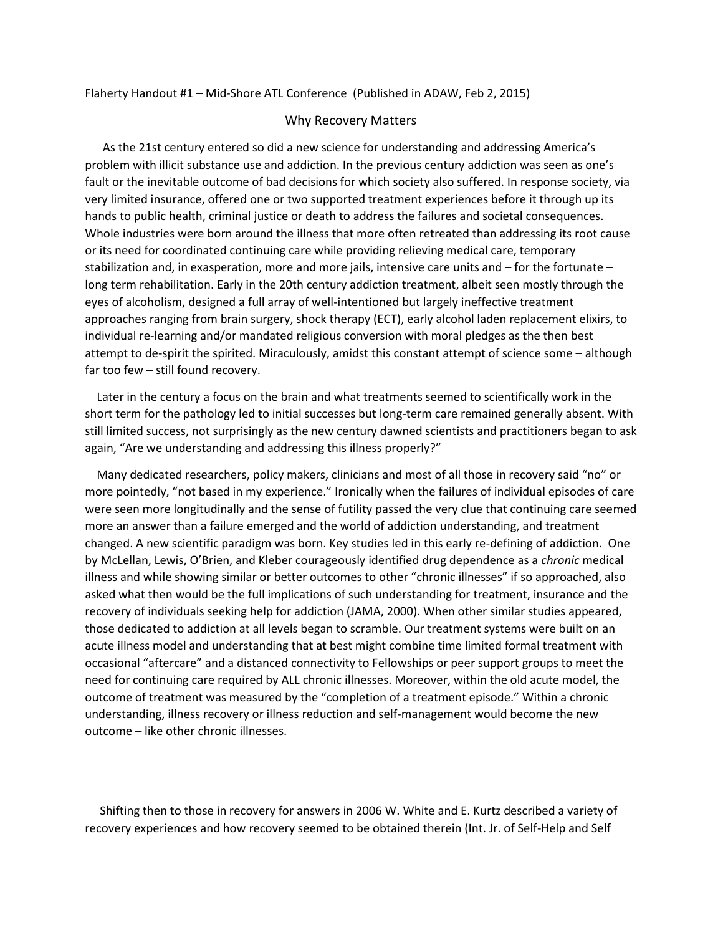Flaherty Handout #1 – Mid-Shore ATL Conference (Published in ADAW, Feb 2, 2015)

## Why Recovery Matters

 As the 21st century entered so did a new science for understanding and addressing America's problem with illicit substance use and addiction. In the previous century addiction was seen as one's fault or the inevitable outcome of bad decisions for which society also suffered. In response society, via very limited insurance, offered one or two supported treatment experiences before it through up its hands to public health, criminal justice or death to address the failures and societal consequences. Whole industries were born around the illness that more often retreated than addressing its root cause or its need for coordinated continuing care while providing relieving medical care, temporary stabilization and, in exasperation, more and more jails, intensive care units and – for the fortunate – long term rehabilitation. Early in the 20th century addiction treatment, albeit seen mostly through the eyes of alcoholism, designed a full array of well-intentioned but largely ineffective treatment approaches ranging from brain surgery, shock therapy (ECT), early alcohol laden replacement elixirs, to individual re-learning and/or mandated religious conversion with moral pledges as the then best attempt to de-spirit the spirited. Miraculously, amidst this constant attempt of science some – although far too few – still found recovery.

 Later in the century a focus on the brain and what treatments seemed to scientifically work in the short term for the pathology led to initial successes but long-term care remained generally absent. With still limited success, not surprisingly as the new century dawned scientists and practitioners began to ask again, "Are we understanding and addressing this illness properly?"

 Many dedicated researchers, policy makers, clinicians and most of all those in recovery said "no" or more pointedly, "not based in my experience." Ironically when the failures of individual episodes of care were seen more longitudinally and the sense of futility passed the very clue that continuing care seemed more an answer than a failure emerged and the world of addiction understanding, and treatment changed. A new scientific paradigm was born. Key studies led in this early re-defining of addiction. One by McLellan, Lewis, O'Brien, and Kleber courageously identified drug dependence as a *chronic* medical illness and while showing similar or better outcomes to other "chronic illnesses" if so approached, also asked what then would be the full implications of such understanding for treatment, insurance and the recovery of individuals seeking help for addiction (JAMA, 2000). When other similar studies appeared, those dedicated to addiction at all levels began to scramble. Our treatment systems were built on an acute illness model and understanding that at best might combine time limited formal treatment with occasional "aftercare" and a distanced connectivity to Fellowships or peer support groups to meet the need for continuing care required by ALL chronic illnesses. Moreover, within the old acute model, the outcome of treatment was measured by the "completion of a treatment episode." Within a chronic understanding, illness recovery or illness reduction and self-management would become the new outcome – like other chronic illnesses.

 Shifting then to those in recovery for answers in 2006 W. White and E. Kurtz described a variety of recovery experiences and how recovery seemed to be obtained therein (Int. Jr. of Self-Help and Self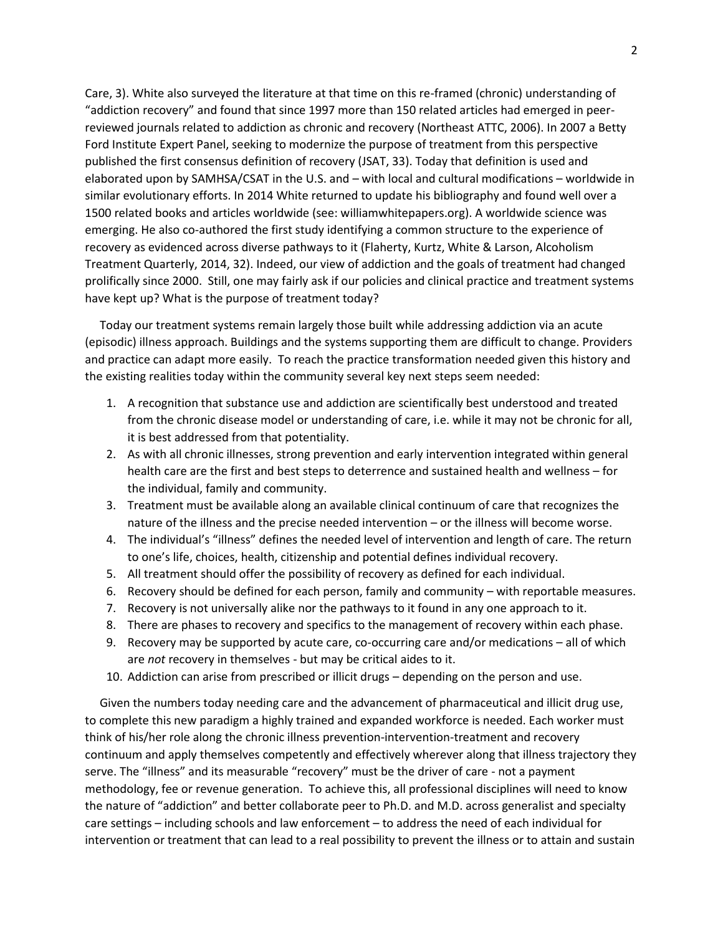Care, 3). White also surveyed the literature at that time on this re-framed (chronic) understanding of "addiction recovery" and found that since 1997 more than 150 related articles had emerged in peerreviewed journals related to addiction as chronic and recovery (Northeast ATTC, 2006). In 2007 a Betty Ford Institute Expert Panel, seeking to modernize the purpose of treatment from this perspective published the first consensus definition of recovery (JSAT, 33). Today that definition is used and elaborated upon by SAMHSA/CSAT in the U.S. and – with local and cultural modifications – worldwide in similar evolutionary efforts. In 2014 White returned to update his bibliography and found well over a 1500 related books and articles worldwide (see: williamwhitepapers.org). A worldwide science was emerging. He also co-authored the first study identifying a common structure to the experience of recovery as evidenced across diverse pathways to it (Flaherty, Kurtz, White & Larson, Alcoholism Treatment Quarterly, 2014, 32). Indeed, our view of addiction and the goals of treatment had changed prolifically since 2000. Still, one may fairly ask if our policies and clinical practice and treatment systems have kept up? What is the purpose of treatment today?

 Today our treatment systems remain largely those built while addressing addiction via an acute (episodic) illness approach. Buildings and the systems supporting them are difficult to change. Providers and practice can adapt more easily. To reach the practice transformation needed given this history and the existing realities today within the community several key next steps seem needed:

- 1. A recognition that substance use and addiction are scientifically best understood and treated from the chronic disease model or understanding of care, i.e. while it may not be chronic for all, it is best addressed from that potentiality.
- 2. As with all chronic illnesses, strong prevention and early intervention integrated within general health care are the first and best steps to deterrence and sustained health and wellness – for the individual, family and community.
- 3. Treatment must be available along an available clinical continuum of care that recognizes the nature of the illness and the precise needed intervention – or the illness will become worse.
- 4. The individual's "illness" defines the needed level of intervention and length of care. The return to one's life, choices, health, citizenship and potential defines individual recovery.
- 5. All treatment should offer the possibility of recovery as defined for each individual.
- 6. Recovery should be defined for each person, family and community with reportable measures.
- 7. Recovery is not universally alike nor the pathways to it found in any one approach to it.
- 8. There are phases to recovery and specifics to the management of recovery within each phase.
- 9. Recovery may be supported by acute care, co-occurring care and/or medications all of which are *not* recovery in themselves - but may be critical aides to it.
- 10. Addiction can arise from prescribed or illicit drugs depending on the person and use.

 Given the numbers today needing care and the advancement of pharmaceutical and illicit drug use, to complete this new paradigm a highly trained and expanded workforce is needed. Each worker must think of his/her role along the chronic illness prevention-intervention-treatment and recovery continuum and apply themselves competently and effectively wherever along that illness trajectory they serve. The "illness" and its measurable "recovery" must be the driver of care - not a payment methodology, fee or revenue generation. To achieve this, all professional disciplines will need to know the nature of "addiction" and better collaborate peer to Ph.D. and M.D. across generalist and specialty care settings – including schools and law enforcement – to address the need of each individual for intervention or treatment that can lead to a real possibility to prevent the illness or to attain and sustain